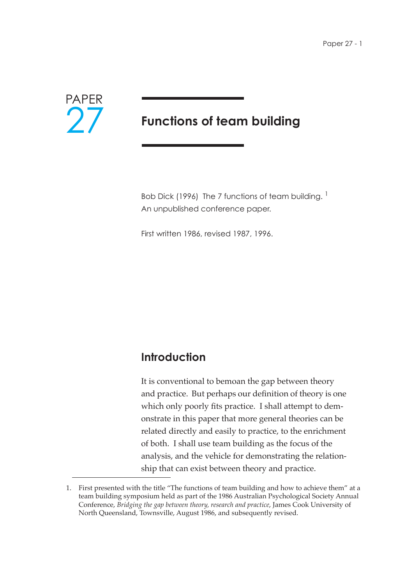

# **Functions of team building**

Bob Dick (1996) The 7 functions of team building.  $<sup>1</sup>$ </sup> An unpublished conference paper.

First written 1986, revised 1987, 1996.

## **Introduction**

It is conventional to bemoan the gap between theory and practice. But perhaps our definition of theory is one which only poorly fits practice. I shall attempt to demonstrate in this paper that more general theories can be related directly and easily to practice, to the enrichment of both. I shall use team building as the focus of the analysis, and the vehicle for demonstrating the relationship that can exist between theory and practice.

<sup>1.</sup> First presented with the title "The functions of team building and how to achieve them" at a team building symposium held as part of the 1986 Australian Psychological Society Annual Conference, *Bridging the gap between theory, research and practice*, James Cook University of North Queensland, Townsville, August 1986, and subsequently revised.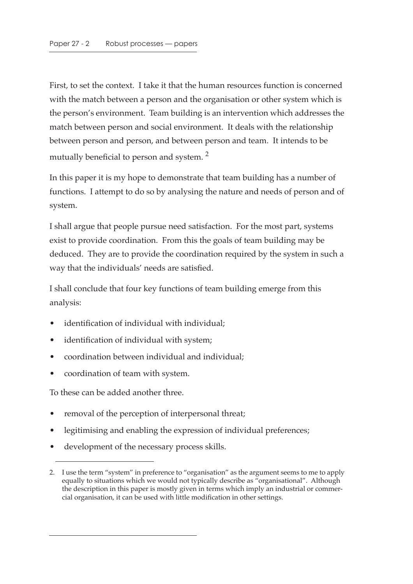First, to set the context. I take it that the human resources function is concerned with the match between a person and the organisation or other system which is the person's environment. Team building is an intervention which addresses the match between person and social environment. It deals with the relationship between person and person, and between person and team. It intends to be mutually beneficial to person and system.<sup>2</sup>

In this paper it is my hope to demonstrate that team building has a number of functions. I attempt to do so by analysing the nature and needs of person and of system.

I shall argue that people pursue need satisfaction. For the most part, systems exist to provide coordination. From this the goals of team building may be deduced. They are to provide the coordination required by the system in such a way that the individuals' needs are satisfied.

I shall conclude that four key functions of team building emerge from this analysis:

- identification of individual with individual;
- identification of individual with system;
- coordination between individual and individual;
- coordination of team with system.

To these can be added another three.

- removal of the perception of interpersonal threat;
- legitimising and enabling the expression of individual preferences;
- development of the necessary process skills.

<sup>2.</sup> I use the term "system" in preference to "organisation" as the argument seems to me to apply equally to situations which we would not typically describe as "organisational". Although the description in this paper is mostly given in terms which imply an industrial or commercial organisation, it can be used with little modification in other settings.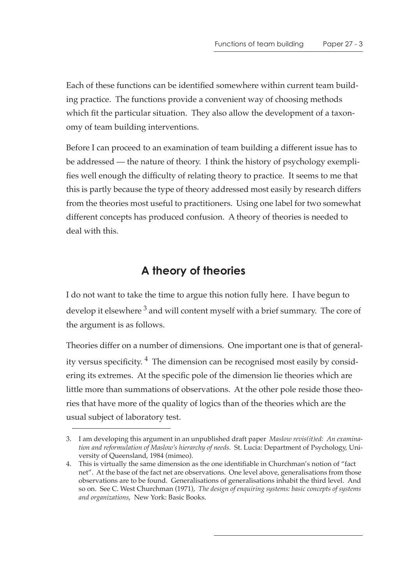Each of these functions can be identified somewhere within current team building practice. The functions provide a convenient way of choosing methods which fit the particular situation. They also allow the development of a taxonomy of team building interventions.

Before I can proceed to an examination of team building a different issue has to be addressed — the nature of theory. I think the history of psychology exemplifies well enough the difficulty of relating theory to practice. It seems to me that this is partly because the type of theory addressed most easily by research differs from the theories most useful to practitioners. Using one label for two somewhat different concepts has produced confusion. A theory of theories is needed to deal with this.

## **A theory of theories**

I do not want to take the time to argue this notion fully here. I have begun to develop it elsewhere  $3$  and will content myself with a brief summary. The core of the argument is as follows.

Theories differ on a number of dimensions. One important one is that of generality versus specificity.  $4$  The dimension can be recognised most easily by considering its extremes. At the specific pole of the dimension lie theories which are little more than summations of observations. At the other pole reside those theories that have more of the quality of logics than of the theories which are the usual subject of laboratory test.

<sup>3.</sup> I am developing this argument in an unpublished draft paper *Maslow revis(it)ed: An examination and reformulation of Maslow's hierarchy of needs*. St. Lucia: Department of Psychology, University of Queensland, 1984 (mimeo).

<sup>4.</sup> This is virtually the same dimension as the one identifiable in Churchman's notion of "fact net". At the base of the fact net are observations. One level above, generalisations from those observations are to be found. Generalisations of generalisations inhabit the third level. And so on. See C. West Churchman (1971), *The design of enquiring systems: basic concepts of systems and organizations*, New York: Basic Books.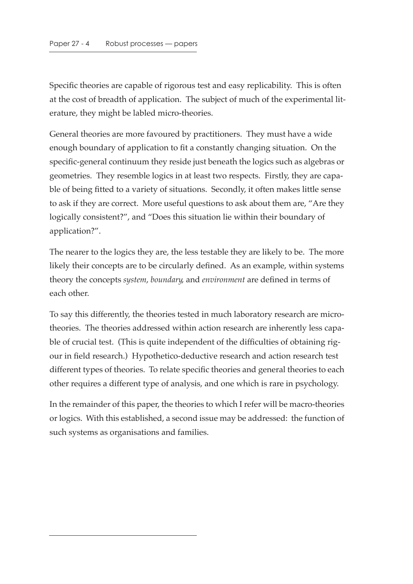Specific theories are capable of rigorous test and easy replicability. This is often at the cost of breadth of application. The subject of much of the experimental literature, they might be labled micro-theories.

General theories are more favoured by practitioners. They must have a wide enough boundary of application to fit a constantly changing situation. On the specific-general continuum they reside just beneath the logics such as algebras or geometries. They resemble logics in at least two respects. Firstly, they are capable of being fitted to a variety of situations. Secondly, it often makes little sense to ask if they are correct. More useful questions to ask about them are, "Are they logically consistent?", and "Does this situation lie within their boundary of application?".

The nearer to the logics they are, the less testable they are likely to be. The more likely their concepts are to be circularly defined. As an example, within systems theory the concepts *system*, *boundary*, and *environment* are defined in terms of each other.

To say this differently, the theories tested in much laboratory research are microtheories. The theories addressed within action research are inherently less capable of crucial test. (This is quite independent of the difficulties of obtaining rigour in field research.) Hypothetico-deductive research and action research test different types of theories. To relate specific theories and general theories to each other requires a different type of analysis, and one which is rare in psychology.

In the remainder of this paper, the theories to which I refer will be macro-theories or logics. With this established, a second issue may be addressed: the function of such systems as organisations and families.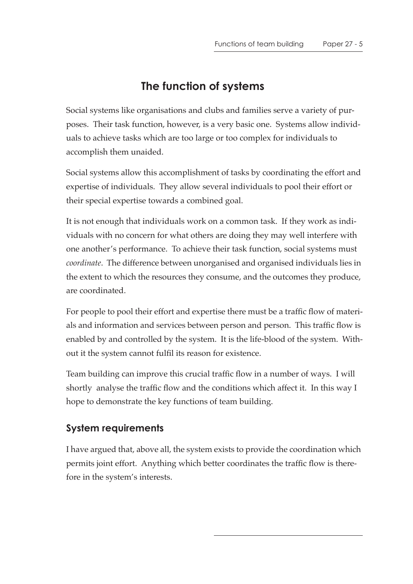## **The function of systems**

Social systems like organisations and clubs and families serve a variety of purposes. Their task function, however, is a very basic one. Systems allow individuals to achieve tasks which are too large or too complex for individuals to accomplish them unaided.

Social systems allow this accomplishment of tasks by coordinating the effort and expertise of individuals. They allow several individuals to pool their effort or their special expertise towards a combined goal.

It is not enough that individuals work on a common task. If they work as individuals with no concern for what others are doing they may well interfere with one another's performance. To achieve their task function, social systems must *coordinate*. The difference between unorganised and organised individuals lies in the extent to which the resources they consume, and the outcomes they produce, are coordinated.

For people to pool their effort and expertise there must be a traffic flow of materials and information and services between person and person. This traffic flow is enabled by and controlled by the system. It is the life-blood of the system. Without it the system cannot fulfil its reason for existence.

Team building can improve this crucial traffic flow in a number of ways. I will shortly analyse the traffic flow and the conditions which affect it. In this way I hope to demonstrate the key functions of team building.

### **System requirements**

I have argued that, above all, the system exists to provide the coordination which permits joint effort. Anything which better coordinates the traffic flow is therefore in the system's interests.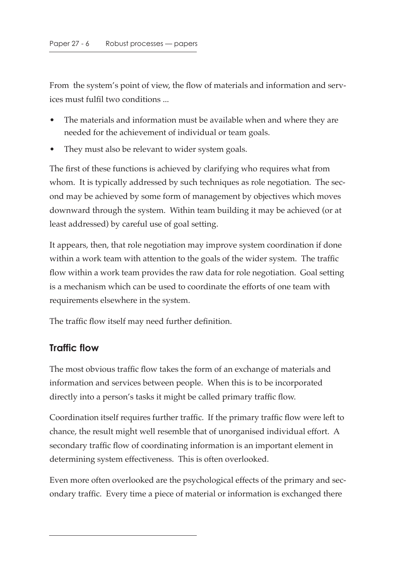From the system's point of view, the flow of materials and information and services must fulfil two conditions ...

- The materials and information must be available when and where they are needed for the achievement of individual or team goals.
- They must also be relevant to wider system goals.

The first of these functions is achieved by clarifying who requires what from whom. It is typically addressed by such techniques as role negotiation. The second may be achieved by some form of management by objectives which moves downward through the system. Within team building it may be achieved (or at least addressed) by careful use of goal setting.

It appears, then, that role negotiation may improve system coordination if done within a work team with attention to the goals of the wider system. The traffic flow within a work team provides the raw data for role negotiation. Goal setting is a mechanism which can be used to coordinate the efforts of one team with requirements elsewhere in the system.

The traffic flow itself may need further definition.

#### **Traffic flow**

The most obvious traffic flow takes the form of an exchange of materials and information and services between people. When this is to be incorporated directly into a person's tasks it might be called primary traffic flow.

Coordination itself requires further traffic. If the primary traffic flow were left to chance, the result might well resemble that of unorganised individual effort. A secondary traffic flow of coordinating information is an important element in determining system effectiveness. This is often overlooked.

Even more often overlooked are the psychological effects of the primary and secondary traffic. Every time a piece of material or information is exchanged there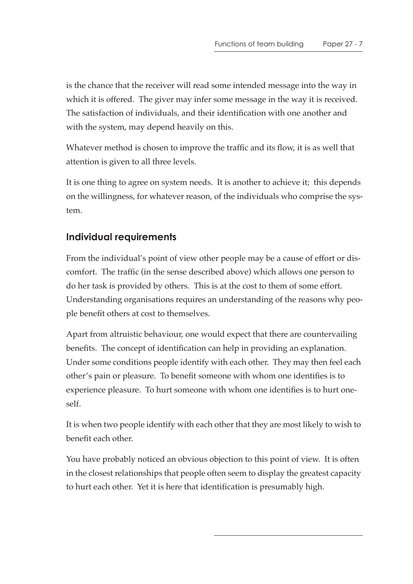is the chance that the receiver will read some intended message into the way in which it is offered. The giver may infer some message in the way it is received. The satisfaction of individuals, and their identification with one another and with the system, may depend heavily on this.

Whatever method is chosen to improve the traffic and its flow, it is as well that attention is given to all three levels.

It is one thing to agree on system needs. It is another to achieve it; this depends on the willingness, for whatever reason, of the individuals who comprise the system.

### **Individual requirements**

From the individual's point of view other people may be a cause of effort or discomfort. The traffic (in the sense described above) which allows one person to do her task is provided by others. This is at the cost to them of some effort. Understanding organisations requires an understanding of the reasons why people benefit others at cost to themselves.

Apart from altruistic behaviour, one would expect that there are countervailing benefits. The concept of identification can help in providing an explanation. Under some conditions people identify with each other. They may then feel each other's pain or pleasure. To benefit someone with whom one identifies is to experience pleasure. To hurt someone with whom one identifies is to hurt oneself.

It is when two people identify with each other that they are most likely to wish to benefit each other.

You have probably noticed an obvious objection to this point of view. It is often in the closest relationships that people often seem to display the greatest capacity to hurt each other. Yet it is here that identification is presumably high.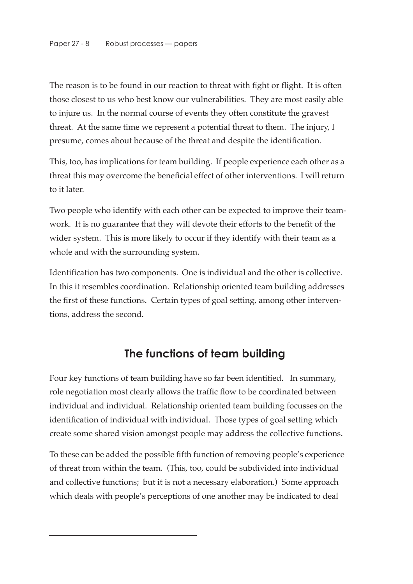The reason is to be found in our reaction to threat with fight or flight. It is often those closest to us who best know our vulnerabilities. They are most easily able to injure us. In the normal course of events they often constitute the gravest threat. At the same time we represent a potential threat to them. The injury, I presume, comes about because of the threat and despite the identification.

This, too, has implications for team building. If people experience each other as a threat this may overcome the beneficial effect of other interventions. I will return to it later.

Two people who identify with each other can be expected to improve their teamwork. It is no guarantee that they will devote their efforts to the benefit of the wider system. This is more likely to occur if they identify with their team as a whole and with the surrounding system.

Identification has two components. One is individual and the other is collective. In this it resembles coordination. Relationship oriented team building addresses the first of these functions. Certain types of goal setting, among other interventions, address the second.

## **The functions of team building**

Four key functions of team building have so far been identified. In summary, role negotiation most clearly allows the traffic flow to be coordinated between individual and individual. Relationship oriented team building focusses on the identification of individual with individual. Those types of goal setting which create some shared vision amongst people may address the collective functions.

To these can be added the possible fifth function of removing people's experience of threat from within the team. (This, too, could be subdivided into individual and collective functions; but it is not a necessary elaboration.) Some approach which deals with people's perceptions of one another may be indicated to deal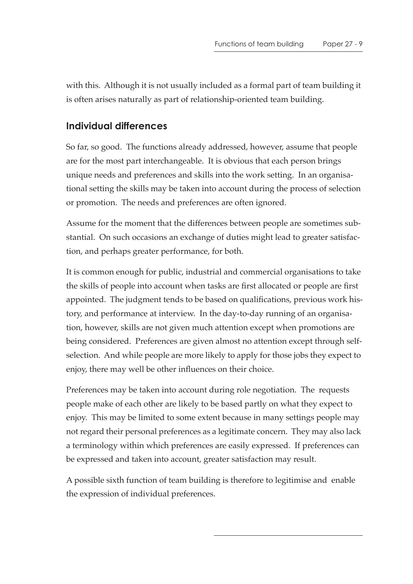with this. Although it is not usually included as a formal part of team building it is often arises naturally as part of relationship-oriented team building.

#### **Individual differences**

So far, so good. The functions already addressed, however, assume that people are for the most part interchangeable. It is obvious that each person brings unique needs and preferences and skills into the work setting. In an organisational setting the skills may be taken into account during the process of selection or promotion. The needs and preferences are often ignored.

Assume for the moment that the differences between people are sometimes substantial. On such occasions an exchange of duties might lead to greater satisfaction, and perhaps greater performance, for both.

It is common enough for public, industrial and commercial organisations to take the skills of people into account when tasks are first allocated or people are first appointed. The judgment tends to be based on qualifications, previous work history, and performance at interview. In the day-to-day running of an organisation, however, skills are not given much attention except when promotions are being considered. Preferences are given almost no attention except through selfselection. And while people are more likely to apply for those jobs they expect to enjoy, there may well be other influences on their choice.

Preferences may be taken into account during role negotiation. The requests people make of each other are likely to be based partly on what they expect to enjoy. This may be limited to some extent because in many settings people may not regard their personal preferences as a legitimate concern. They may also lack a terminology within which preferences are easily expressed. If preferences can be expressed and taken into account, greater satisfaction may result.

A possible sixth function of team building is therefore to legitimise and enable the expression of individual preferences.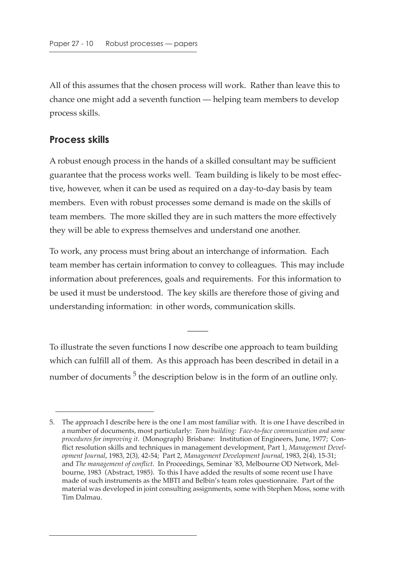All of this assumes that the chosen process will work. Rather than leave this to chance one might add a seventh function — helping team members to develop process skills.

#### **Process skills**

A robust enough process in the hands of a skilled consultant may be sufficient guarantee that the process works well. Team building is likely to be most effective, however, when it can be used as required on a day-to-day basis by team members. Even with robust processes some demand is made on the skills of team members. The more skilled they are in such matters the more effectively they will be able to express themselves and understand one another.

To work, any process must bring about an interchange of information. Each team member has certain information to convey to colleagues. This may include information about preferences, goals and requirements. For this information to be used it must be understood. The key skills are therefore those of giving and understanding information: in other words, communication skills.

To illustrate the seven functions I now describe one approach to team building which can fulfill all of them. As this approach has been described in detail in a number of documents  $5$  the description below is in the form of an outline only.

 $\overline{\phantom{a}}$ 

<sup>5.</sup> The approach I describe here is the one I am most familiar with. It is one I have described in a number of documents, most particularly: *Team building: Face-to-face communication and some procedures for improving it*. (Monograph) Brisbane: Institution of Engineers, June, 1977; Conflict resolution skills and techniques in management development, Part 1, *Management Development Journal*, 1983, 2(3), 42-54; Part 2, *Management Development Journal*, 1983, 2(4), 15-31; and *The management of conflict*. In Proceedings, Seminar '83, Melbourne OD Network, Melbourne, 1983 (Abstract, 1985). To this I have added the results of some recent use I have made of such instruments as the MBTI and Belbin's team roles questionnaire. Part of the material was developed in joint consulting assignments, some with Stephen Moss, some with Tim Dalmau.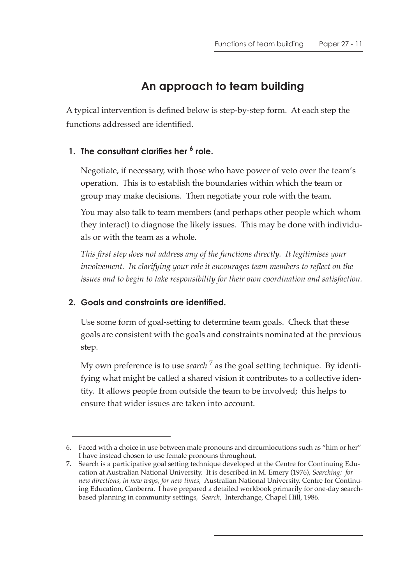## **An approach to team building**

A typical intervention is defined below is step-by-step form. At each step the functions addressed are identified.

#### **1. The consultant clarifies her 6 role.**

Negotiate, if necessary, with those who have power of veto over the team's operation. This is to establish the boundaries within which the team or group may make decisions. Then negotiate your role with the team.

You may also talk to team members (and perhaps other people which whom they interact) to diagnose the likely issues. This may be done with individuals or with the team as a whole.

*This first step does not address any of the functions directly. It legitimises your*  involvement. In clarifying your role it encourages team members to reflect on the *issues and to begin to take responsibility for their own coordination and satisfaction.*

#### **2. Goals and constraints are identified.**

Use some form of goal-setting to determine team goals. Check that these goals are consistent with the goals and constraints nominated at the previous step.

My own preference is to use *search* 7 as the goal setting technique. By identifying what might be called a shared vision it contributes to a collective identity. It allows people from outside the team to be involved; this helps to ensure that wider issues are taken into account.

<sup>6.</sup> Faced with a choice in use between male pronouns and circumlocutions such as "him or her" I have instead chosen to use female pronouns throughout.

<sup>7.</sup> Search is a participative goal setting technique developed at the Centre for Continuing Education at Australian National University. It is described in M. Emery (1976), *Searching: for new directions, in new ways, for new times*, Australian National University, Centre for Continuing Education, Canberra. I have prepared a detailed workbook primarily for one-day searchbased planning in community settings, *Search*, Interchange, Chapel Hill, 1986.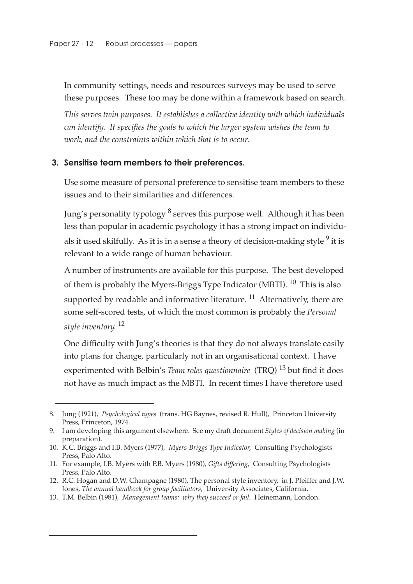In community settings, needs and resources surveys may be used to serve these purposes. These too may be done within a framework based on search.

*This serves twin purposes. It establishes a collective identity with which individuals can identify. It specifies the goals to which the larger system wishes the team to work, and the constraints within which that is to occur.*

#### **3. Sensitise team members to their preferences.**

Use some measure of personal preference to sensitise team members to these issues and to their similarities and differences.

Jung's personality typology  $\delta$  serves this purpose well. Although it has been less than popular in academic psychology it has a strong impact on individuals if used skilfully. As it is in a sense a theory of decision-making style  $9$  it is relevant to a wide range of human behaviour.

A number of instruments are available for this purpose. The best developed of them is probably the Myers-Briggs Type Indicator (MBTI).  $^{10}$  This is also supported by readable and informative literature.  $^{11}$  Alternatively, there are some self-scored tests, of which the most common is probably the *Personal style inventory*. 12

One difficulty with Jung's theories is that they do not always translate easily into plans for change, particularly not in an organisational context. I have experimented with Belbin's *Team roles questionnaire* (TRQ) 13 but find it does not have as much impact as the MBTI. In recent times I have therefore used

<sup>8.</sup> Jung (1921), *Psychological types* (trans. HG Baynes, revised R. Hull), Princeton University Press, Princeton, 1974.

<sup>9.</sup> I am developing this argument elsewhere. See my draft document *Styles of decision making* (in preparation).

<sup>10.</sup> K.C. Briggs and I.B. Myers (1977), *Myers-Briggs Type Indicator*, Consulting Psychologists Press, Palo Alto.

<sup>11.</sup> For example, I.B. Myers with P.B. Myers (1980), *Gifts differing*, Consulting Psychologists Press, Palo Alto.

<sup>12.</sup> R.C. Hogan and D.W. Champagne (1980), The personal style inventory, in J. Pfeiffer and J.W. Jones, *The annual handbook for group facilitators*, University Associates, California.

<sup>13.</sup> T.M. Belbin (1981), *Management teams: why they succeed or fail*. Heinemann, London.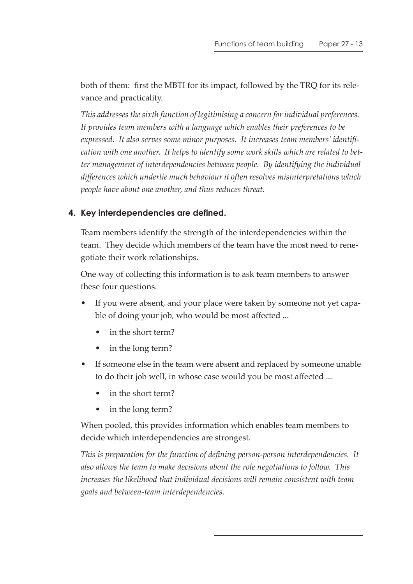both of them: first the MBTI for its impact, followed by the TRQ for its relevance and practicality.

*This addresses the sixth function of legitimising a concern for individual preferences. It provides team members with a language which enables their preferences to be expressed. It also serves some minor purposes. It increases team members' identification with one another. It helps to identify some work skills which are related to better management of interdependencies between people. By identifying the individual differences which underlie much behaviour it often resolves misinterpretations which people have about one another, and thus reduces threat.*

#### **4. Key interdependencies are defined.**

Team members identify the strength of the interdependencies within the team. They decide which members of the team have the most need to renegotiate their work relationships.

One way of collecting this information is to ask team members to answer these four questions.

- If you were absent, and your place were taken by someone not yet capable of doing your job, who would be most affected ...
	- in the short term?
	- in the long term?
- If someone else in the team were absent and replaced by someone unable to do their job well, in whose case would you be most affected ...
	- in the short term?
	- in the long term?

When pooled, this provides information which enables team members to decide which interdependencies are strongest.

*This is preparation for the function of defining person-person interdependencies. It also allows the team to make decisions about the role negotiations to follow. This increases the likelihood that individual decisions will remain consistent with team goals and between-team interdependencies.*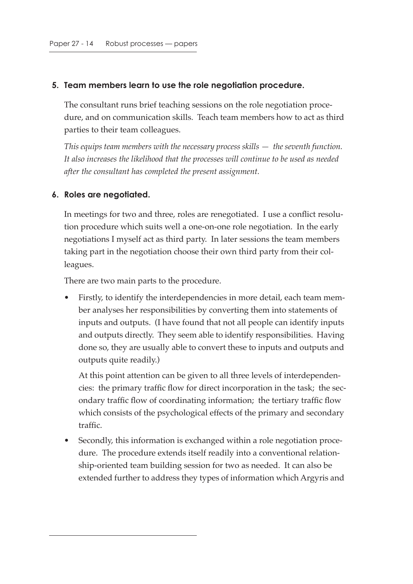#### **5. Team members learn to use the role negotiation procedure.**

The consultant runs brief teaching sessions on the role negotiation procedure, and on communication skills. Teach team members how to act as third parties to their team colleagues.

*This equips team members with the necessary process skills — the seventh function. It also increases the likelihood that the processes will continue to be used as needed after the consultant has completed the present assignment.*

#### **6. Roles are negotiated.**

In meetings for two and three, roles are renegotiated. I use a conflict resolution procedure which suits well a one-on-one role negotiation. In the early negotiations I myself act as third party. In later sessions the team members taking part in the negotiation choose their own third party from their colleagues.

There are two main parts to the procedure.

• Firstly, to identify the interdependencies in more detail, each team member analyses her responsibilities by converting them into statements of inputs and outputs. (I have found that not all people can identify inputs and outputs directly. They seem able to identify responsibilities. Having done so, they are usually able to convert these to inputs and outputs and outputs quite readily.)

At this point attention can be given to all three levels of interdependencies: the primary traffic flow for direct incorporation in the task; the secondary traffic flow of coordinating information; the tertiary traffic flow which consists of the psychological effects of the primary and secondary traffic.

• Secondly, this information is exchanged within a role negotiation procedure. The procedure extends itself readily into a conventional relationship-oriented team building session for two as needed. It can also be extended further to address they types of information which Argyris and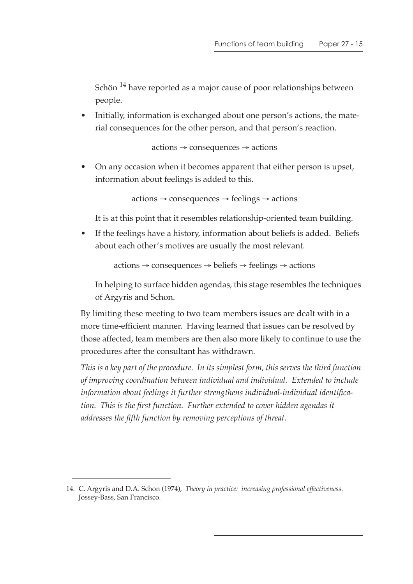Schön <sup>14</sup> have reported as a major cause of poor relationships between people.

• Initially, information is exchanged about one person's actions, the material consequences for the other person, and that person's reaction.

actions → consequences → actions

• On any occasion when it becomes apparent that either person is upset, information about feelings is added to this.

actions → consequences → feelings → actions

It is at this point that it resembles relationship-oriented team building.

• If the feelings have a history, information about beliefs is added. Beliefs about each other's motives are usually the most relevant.

```
actions → consequences → beliefs → feelings → actions
```
In helping to surface hidden agendas, this stage resembles the techniques of Argyris and Schon.

By limiting these meeting to two team members issues are dealt with in a more time-efficient manner. Having learned that issues can be resolved by those affected, team members are then also more likely to continue to use the procedures after the consultant has withdrawn.

*This is a key part of the procedure. In its simplest form, this serves the third function of improving coordination between individual and individual. Extended to include information about feelings it further strengthens individual-individual identification. This is the first function. Further extended to cover hidden agendas it addresses the fifth function by removing perceptions of threat.*

<sup>14.</sup> C. Argyris and D.A. Schon (1974), *Theory in practice: increasing professional effectiveness*. Jossey-Bass, San Francisco.